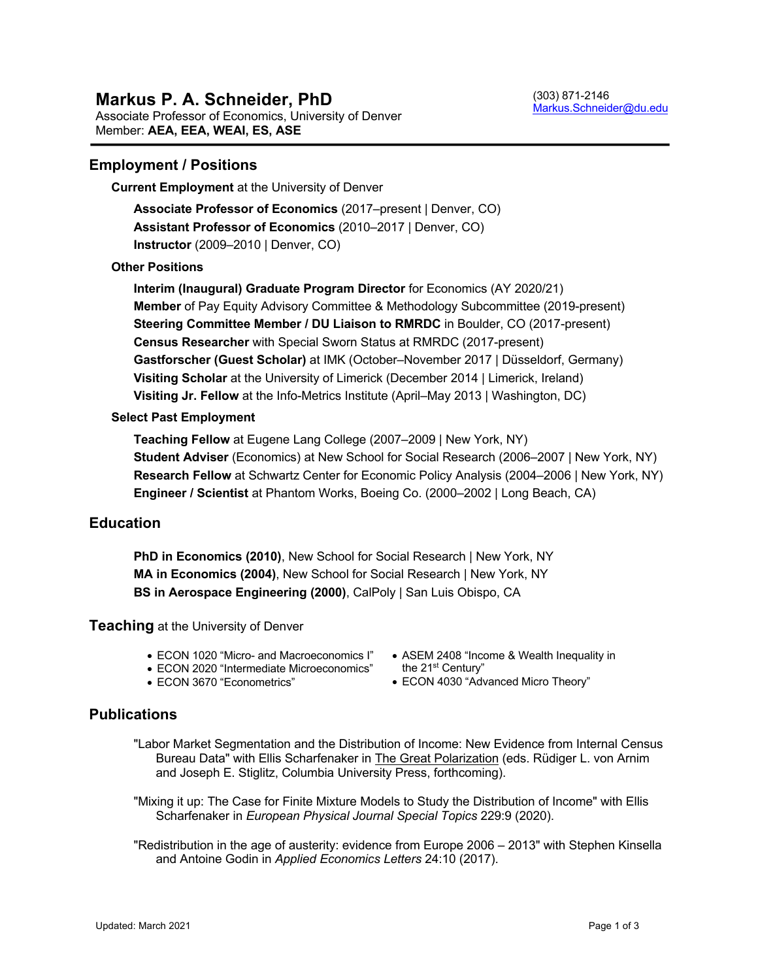# **Employment / Positions**

**Current Employment** at the University of Denver

**Associate Professor of Economics** (2017–present | Denver, CO) **Assistant Professor of Economics** (2010–2017 | Denver, CO) **Instructor** (2009–2010 | Denver, CO)

### **Other Positions**

**Interim (Inaugural) Graduate Program Director** for Economics (AY 2020/21) **Member** of Pay Equity Advisory Committee & Methodology Subcommittee (2019-present) **Steering Committee Member / DU Liaison to RMRDC** in Boulder, CO (2017-present) **Census Researcher** with Special Sworn Status at RMRDC (2017-present) **Gastforscher (Guest Scholar)** at IMK (October–November 2017 | Düsseldorf, Germany) **Visiting Scholar** at the University of Limerick (December 2014 | Limerick, Ireland) **Visiting Jr. Fellow** at the Info-Metrics Institute (April–May 2013 | Washington, DC)

#### **Select Past Employment**

**Teaching Fellow** at Eugene Lang College (2007–2009 | New York, NY) **Student Adviser** (Economics) at New School for Social Research (2006–2007 | New York, NY) **Research Fellow** at Schwartz Center for Economic Policy Analysis (2004–2006 | New York, NY) **Engineer / Scientist** at Phantom Works, Boeing Co. (2000–2002 | Long Beach, CA)

### **Education**

**PhD in Economics (2010)**, New School for Social Research | New York, NY **MA in Economics (2004)**, New School for Social Research | New York, NY **BS in Aerospace Engineering (2000)**, CalPoly | San Luis Obispo, CA

**Teaching** at the University of Denver

- ECON 1020 "Micro- and Macroeconomics I"
- ECON 2020 "Intermediate Microeconomics" the 21<sup>st</sup> Century"
- ECON 3670 "Econometrics"
- ASEM 2408 "Income & Wealth Inequality in
- ECON 4030 "Advanced Micro Theory"

# **Publications**

- "Labor Market Segmentation and the Distribution of Income: New Evidence from Internal Census Bureau Data" with Ellis Scharfenaker in The Great Polarization (eds. Rüdiger L. von Arnim and Joseph E. Stiglitz, Columbia University Press, forthcoming).
- "Mixing it up: The Case for Finite Mixture Models to Study the Distribution of Income" with Ellis Scharfenaker in *European Physical Journal Special Topics* 229:9 (2020).
- "Redistribution in the age of austerity: evidence from Europe 2006 2013" with Stephen Kinsella and Antoine Godin in *Applied Economics Letters* 24:10 (2017).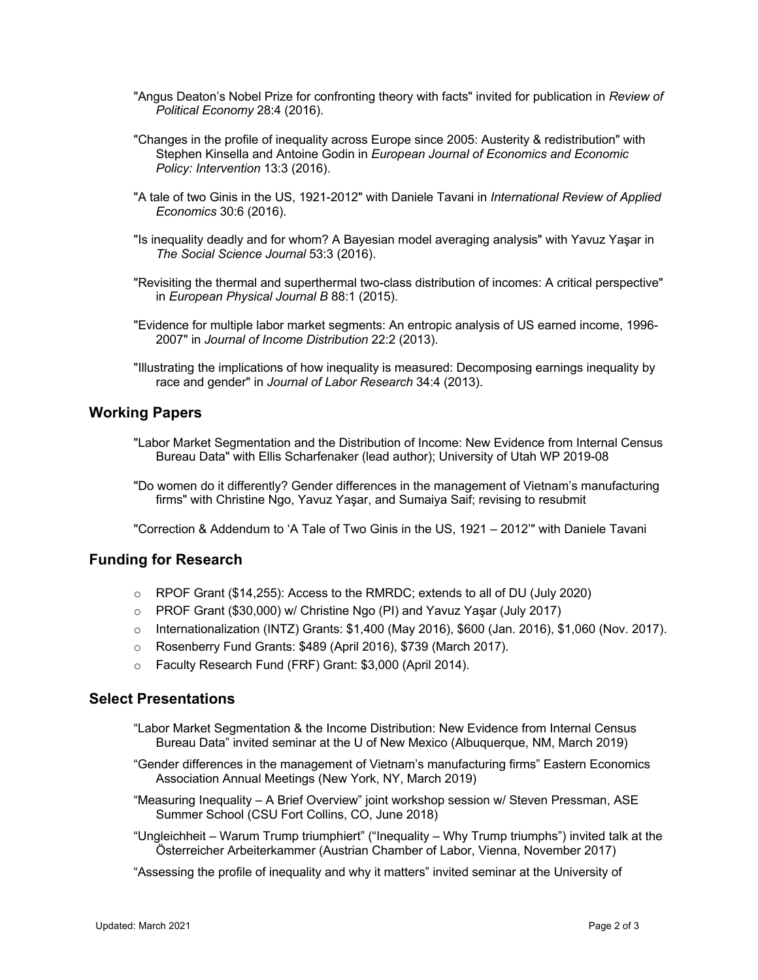- "Angus Deaton's Nobel Prize for confronting theory with facts" invited for publication in *Review of Political Economy* 28:4 (2016).
- "Changes in the profile of inequality across Europe since 2005: Austerity & redistribution" with Stephen Kinsella and Antoine Godin in *European Journal of Economics and Economic Policy: Intervention* 13:3 (2016).
- "A tale of two Ginis in the US, 1921-2012" with Daniele Tavani in *International Review of Applied Economics* 30:6 (2016).
- "Is inequality deadly and for whom? A Bayesian model averaging analysis" with Yavuz Yaşar in *The Social Science Journal* 53:3 (2016).
- "Revisiting the thermal and superthermal two-class distribution of incomes: A critical perspective" in *European Physical Journal B* 88:1 (2015).
- "Evidence for multiple labor market segments: An entropic analysis of US earned income, 1996- 2007" in *Journal of Income Distribution* 22:2 (2013).
- "Illustrating the implications of how inequality is measured: Decomposing earnings inequality by race and gender" in *Journal of Labor Research* 34:4 (2013).

# **Working Papers**

- "Labor Market Segmentation and the Distribution of Income: New Evidence from Internal Census Bureau Data" with Ellis Scharfenaker (lead author); University of Utah WP 2019-08
- "Do women do it differently? Gender differences in the management of Vietnam's manufacturing firms" with Christine Ngo, Yavuz Yaşar, and Sumaiya Saif; revising to resubmit

"Correction & Addendum to 'A Tale of Two Ginis in the US, 1921 – 2012'" with Daniele Tavani

# **Funding for Research**

- o RPOF Grant (\$14,255): Access to the RMRDC; extends to all of DU (July 2020)
- o PROF Grant (\$30,000) w/ Christine Ngo (PI) and Yavuz Yaşar (July 2017)
- $\circ$  Internationalization (INTZ) Grants: \$1,400 (May 2016), \$600 (Jan. 2016), \$1,060 (Nov. 2017).
- o Rosenberry Fund Grants: \$489 (April 2016), \$739 (March 2017).
- o Faculty Research Fund (FRF) Grant: \$3,000 (April 2014).

### **Select Presentations**

- "Labor Market Segmentation & the Income Distribution: New Evidence from Internal Census Bureau Data" invited seminar at the U of New Mexico (Albuquerque, NM, March 2019)
- "Gender differences in the management of Vietnam's manufacturing firms" Eastern Economics Association Annual Meetings (New York, NY, March 2019)
- "Measuring Inequality A Brief Overview" joint workshop session w/ Steven Pressman, ASE Summer School (CSU Fort Collins, CO, June 2018)
- "Ungleichheit Warum Trump triumphiert" ("Inequality Why Trump triumphs") invited talk at the Österreicher Arbeiterkammer (Austrian Chamber of Labor, Vienna, November 2017)
- "Assessing the profile of inequality and why it matters" invited seminar at the University of